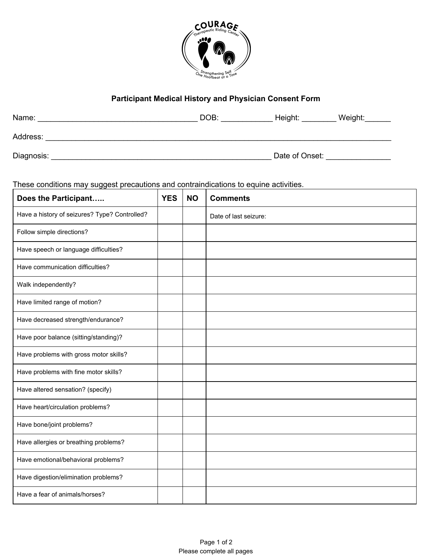

## **Participant Medical History and Physician Consent Form**

| Name:      | DOB: | Height:        | Weight: |
|------------|------|----------------|---------|
| Address:   |      |                |         |
| Diagnosis: |      | Date of Onset: |         |

These conditions may suggest precautions and contraindications to equine activities.

| Does the Participant                          | <b>YES</b> | <b>NO</b> | <b>Comments</b>       |
|-----------------------------------------------|------------|-----------|-----------------------|
| Have a history of seizures? Type? Controlled? |            |           | Date of last seizure: |
| Follow simple directions?                     |            |           |                       |
| Have speech or language difficulties?         |            |           |                       |
| Have communication difficulties?              |            |           |                       |
| Walk independently?                           |            |           |                       |
| Have limited range of motion?                 |            |           |                       |
| Have decreased strength/endurance?            |            |           |                       |
| Have poor balance (sitting/standing)?         |            |           |                       |
| Have problems with gross motor skills?        |            |           |                       |
| Have problems with fine motor skills?         |            |           |                       |
| Have altered sensation? (specify)             |            |           |                       |
| Have heart/circulation problems?              |            |           |                       |
| Have bone/joint problems?                     |            |           |                       |
| Have allergies or breathing problems?         |            |           |                       |
| Have emotional/behavioral problems?           |            |           |                       |
| Have digestion/elimination problems?          |            |           |                       |
| Have a fear of animals/horses?                |            |           |                       |